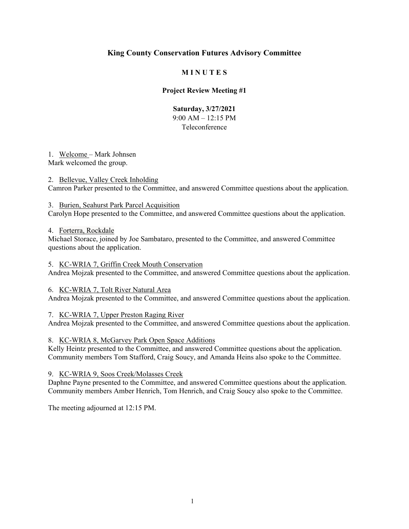### **M I N U T E S**

### **Project Review Meeting #1**

### **Saturday, 3/27/2021**  9:00 AM – 12:15 PM Teleconference

# 1. Welcome – Mark Johnsen

Mark welcomed the group.

### 2. Bellevue, Valley Creek Inholding

Camron Parker presented to the Committee, and answered Committee questions about the application.

### 3. Burien, Seahurst Park Parcel Acquisition

Carolyn Hope presented to the Committee, and answered Committee questions about the application.

### 4. Forterra, Rockdale

Michael Storace, joined by Joe Sambataro, presented to the Committee, and answered Committee questions about the application.

### 5. KC-WRIA 7, Griffin Creek Mouth Conservation

Andrea Mojzak presented to the Committee, and answered Committee questions about the application.

### 6. KC-WRIA 7, Tolt River Natural Area

Andrea Mojzak presented to the Committee, and answered Committee questions about the application.

### 7. KC-WRIA 7, Upper Preston Raging River

Andrea Mojzak presented to the Committee, and answered Committee questions about the application.

### 8. KC-WRIA 8, McGarvey Park Open Space Additions

Kelly Heintz presented to the Committee, and answered Committee questions about the application. Community members Tom Stafford, Craig Soucy, and Amanda Heins also spoke to the Committee.

#### 9. KC-WRIA 9, Soos Creek/Molasses Creek

Daphne Payne presented to the Committee, and answered Committee questions about the application. Community members Amber Henrich, Tom Henrich, and Craig Soucy also spoke to the Committee.

The meeting adjourned at 12:15 PM.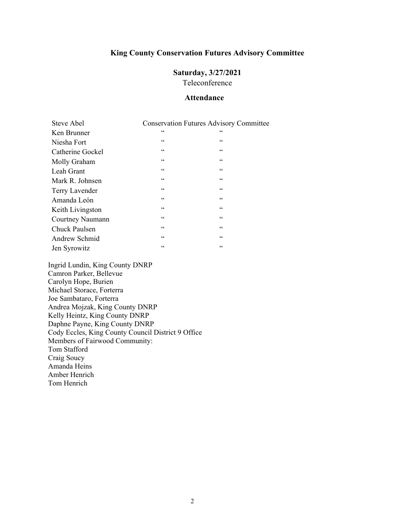# **Saturday, 3/27/2021**

Teleconference

### **Attendance**

| Steve Abel           | <b>Conservation Futures Advisory Committee</b> |                 |
|----------------------|------------------------------------------------|-----------------|
| Ken Brunner          | 66                                             | 66              |
| Niesha Fort          | 66                                             | $\mbox{\bf 6}$  |
| Catherine Gockel     | $\zeta$ $\zeta$                                | $\mbox{\bf 6}$  |
| Molly Graham         | 66                                             | 66              |
| Leah Grant           | $\zeta$ $\zeta$                                | 66              |
| Mark R. Johnsen      | $\zeta$ $\zeta$                                | $\mbox{\bf 6}$  |
| Terry Lavender       | 66                                             | 66              |
| Amanda León          | $\zeta$ $\zeta$                                | 66              |
| Keith Livingston     | 66                                             | 66              |
| Courtney Naumann     | $\zeta$ $\zeta$                                | $\zeta$ $\zeta$ |
| <b>Chuck Paulsen</b> | $\zeta$ $\zeta$                                | 66              |
| Andrew Schmid        | $\mbox{G}\,\mbox{G}$                           | $\mbox{\bf 6}$  |
| Jen Syrowitz         | $\zeta$ $\zeta$                                | $\zeta$ $\zeta$ |

Ingrid Lundin, King County DNRP Camron Parker, Bellevue Carolyn Hope, Burien Michael Storace, Forterra Joe Sambataro, Forterra Andrea Mojzak, King County DNRP Kelly Heintz, King County DNRP Daphne Payne, King County DNRP Cody Eccles, King County Council District 9 Office Members of Fairwood Community: Tom Stafford Craig Soucy Amanda Heins Amber Henrich Tom Henrich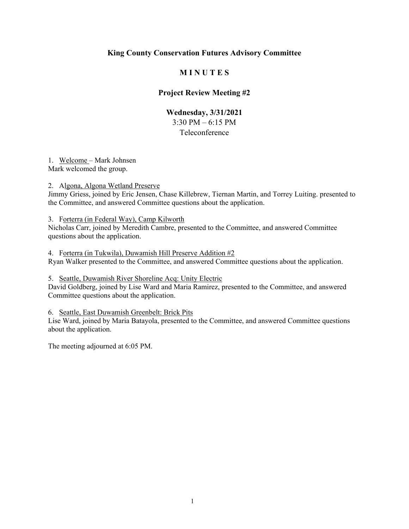### **M I N U T E S**

### **Project Review Meeting #2**

### **Wednesday, 3/31/2021**  3:30 PM – 6:15 PM Teleconference

#### 1. Welcome – Mark Johnsen Mark welcomed the group.

#### 2. Algona, Algona Wetland Preserve

Jimmy Griess, joined by Eric Jensen, Chase Killebrew, Tiernan Martin, and Torrey Luiting. presented to the Committee, and answered Committee questions about the application.

#### 3. Forterra (in Federal Way), Camp Kilworth

Nicholas Carr, joined by Meredith Cambre, presented to the Committee, and answered Committee questions about the application.

4. Forterra (in Tukwila), Duwamish Hill Preserve Addition #2 Ryan Walker presented to the Committee, and answered Committee questions about the application.

#### 5. Seattle, Duwamish River Shoreline Acq: Unity Electric

David Goldberg, joined by Lise Ward and Maria Ramirez, presented to the Committee, and answered Committee questions about the application.

### 6. Seattle, East Duwamish Greenbelt: Brick Pits

Lise Ward, joined by Maria Batayola, presented to the Committee, and answered Committee questions about the application.

The meeting adjourned at 6:05 PM.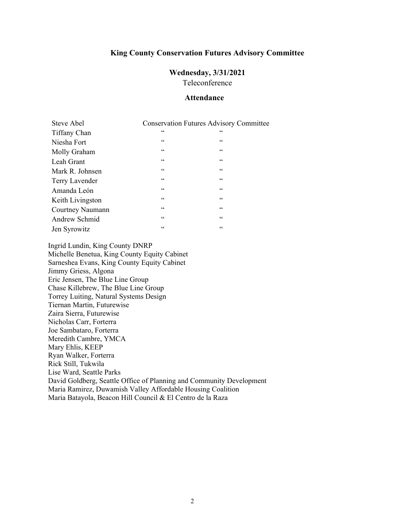# **Wednesday, 3/31/2021**

Teleconference

#### **Attendance**

| Steve Abel       | <b>Conservation Futures Advisory Committee</b> |                 |
|------------------|------------------------------------------------|-----------------|
| Tiffany Chan     | $\zeta$ $\zeta$                                | 66              |
| Niesha Fort      | $\mbox{\bf 6}$                                 | $\zeta$ $\zeta$ |
| Molly Graham     | $\mbox{\bf 6}$                                 | $\zeta$ $\zeta$ |
| Leah Grant       | $\mbox{\bf 6}$                                 | $\zeta$ $\zeta$ |
| Mark R. Johnsen  | $\mbox{\bf 6}$                                 | $\mbox{\bf 6}$  |
| Terry Lavender   | $\zeta$ $\zeta$                                | $\zeta$ $\zeta$ |
| Amanda León      | $\mbox{\bf 6}$                                 | $\mbox{\bf 6}$  |
| Keith Livingston | $\zeta \zeta$                                  | $\zeta \zeta$   |
| Courtney Naumann | $\mbox{\bf 6}$                                 | $\zeta$ $\zeta$ |
| Andrew Schmid    | $\mbox{\bf 6}$                                 | $\mbox{\bf 6}$  |
| Jen Syrowitz     | 66                                             | 66              |

Ingrid Lundin, King County DNRP Michelle Benetua, King County Equity Cabinet Sarneshea Evans, King County Equity Cabinet Jimmy Griess, Algona Eric Jensen, The Blue Line Group Chase Killebrew, The Blue Line Group Torrey Luiting, Natural Systems Design Tiernan Martin, Futurewise Zaira Sierra, Futurewise Nicholas Carr, Forterra Joe Sambataro, Forterra Meredith Cambre, YMCA Mary Ehlis, KEEP Ryan Walker, Forterra Rick Still, Tukwila Lise Ward, Seattle Parks David Goldberg, Seattle Office of Planning and Community Development Maria Ramirez, Duwamish Valley Affordable Housing Coalition Maria Batayola, Beacon Hill Council & El Centro de la Raza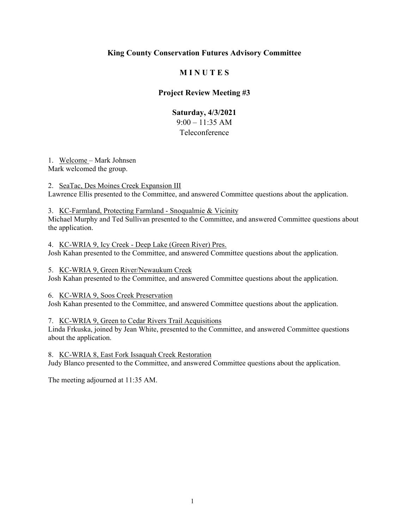### **M I N U T E S**

### **Project Review Meeting #3**

### **Saturday, 4/3/2021**  9:00 – 11:35 AM

### Teleconference

# 1. Welcome – Mark Johnsen

Mark welcomed the group.

2. SeaTac, Des Moines Creek Expansion III Lawrence Ellis presented to the Committee, and answered Committee questions about the application.

### 3. KC-Farmland, Protecting Farmland - Snoqualmie & Vicinity

Michael Murphy and Ted Sullivan presented to the Committee, and answered Committee questions about the application.

4. KC-WRIA 9, Icy Creek - Deep Lake (Green River) Pres. Josh Kahan presented to the Committee, and answered Committee questions about the application.

### 5. KC-WRIA 9, Green River/Newaukum Creek

Josh Kahan presented to the Committee, and answered Committee questions about the application.

### 6. KC-WRIA 9, Soos Creek Preservation

Josh Kahan presented to the Committee, and answered Committee questions about the application.

### 7. KC-WRIA 9, Green to Cedar Rivers Trail Acquisitions

Linda Frkuska, joined by Jean White, presented to the Committee, and answered Committee questions about the application.

### 8. KC-WRIA 8, East Fork Issaquah Creek Restoration

Judy Blanco presented to the Committee, and answered Committee questions about the application.

The meeting adjourned at 11:35 AM.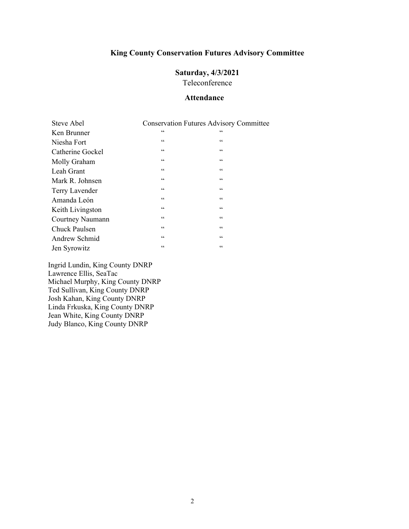### **Saturday, 4/3/2021**

Teleconference

### **Attendance**

| Steve Abel       |                 | <b>Conservation Futures Advisory Committee</b> |
|------------------|-----------------|------------------------------------------------|
| Ken Brunner      | 66              | 66                                             |
| Niesha Fort      | 66              | $\mbox{\bf 6}$                                 |
| Catherine Gockel | 66              | $\zeta \zeta$                                  |
| Molly Graham     | 66              | 66                                             |
| Leah Grant       | 66              | $\zeta$ $\zeta$                                |
| Mark R. Johnsen  | $\mbox{\bf 6}$  | $\zeta \zeta$                                  |
| Terry Lavender   | 66              | 66                                             |
| Amanda León      | 66              | $\zeta \zeta$                                  |
| Keith Livingston | $\mbox{\bf 6}$  | $\zeta$ $\zeta$                                |
| Courtney Naumann | $\zeta$ $\zeta$ | $\zeta$ $\zeta$                                |
| Chuck Paulsen    | 66              | 66                                             |
| Andrew Schmid    | 66              | $\zeta \zeta$                                  |
| Jen Syrowitz     | $\leq$ $\leq$   | 66                                             |

Ingrid Lundin, King County DNRP Lawrence Ellis, SeaTac Michael Murphy, King County DNRP Ted Sullivan, King County DNRP Josh Kahan, King County DNRP Linda Frkuska, King County DNRP Jean White, King County DNRP Judy Blanco, King County DNRP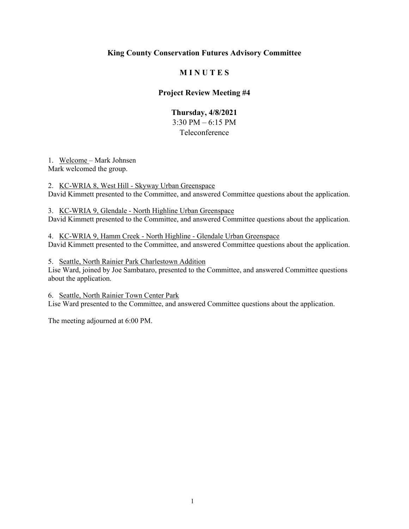### **M I N U T E S**

### **Project Review Meeting #4**

# **Thursday, 4/8/2021**  3:30 PM – 6:15 PM

### Teleconference

1. Welcome – Mark Johnsen Mark welcomed the group.

2. KC-WRIA 8, West Hill - Skyway Urban Greenspace David Kimmett presented to the Committee, and answered Committee questions about the application.

3. KC-WRIA 9, Glendale - North Highline Urban Greenspace David Kimmett presented to the Committee, and answered Committee questions about the application.

4. KC-WRIA 9, Hamm Creek - North Highline - Glendale Urban Greenspace David Kimmett presented to the Committee, and answered Committee questions about the application.

5. Seattle, North Rainier Park Charlestown Addition

Lise Ward, joined by Joe Sambataro, presented to the Committee, and answered Committee questions about the application.

6. Seattle, North Rainier Town Center Park Lise Ward presented to the Committee, and answered Committee questions about the application.

The meeting adjourned at 6:00 PM.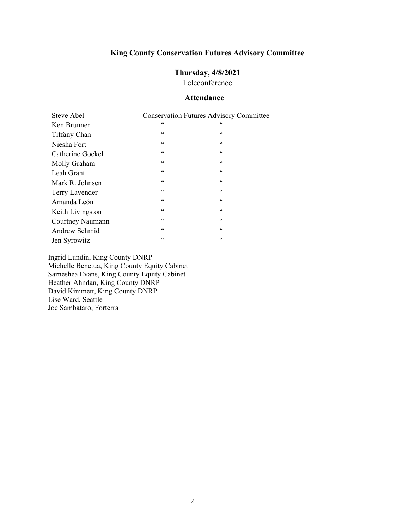### **Thursday, 4/8/2021**

Teleconference

### **Attendance**

| Steve Abel       | <b>Conservation Futures Advisory Committee</b> |                 |
|------------------|------------------------------------------------|-----------------|
| Ken Brunner      | $\zeta$ $\zeta$                                | 66              |
| Tiffany Chan     | $\mbox{\bf 6}$                                 | $\mbox{\bf 6}$  |
| Niesha Fort      | $\mbox{\bf 6}$                                 | $\mbox{\bf 6}$  |
| Catherine Gockel | $\zeta$ $\zeta$                                | 66              |
| Molly Graham     | $\mbox{\bf 6}$                                 | $\zeta$ $\zeta$ |
| Leah Grant       | $\mbox{\bf 6}$                                 | $\zeta$ $\zeta$ |
| Mark R. Johnsen  | 66                                             | 66              |
| Terry Lavender   | $\zeta$ $\zeta$                                | $\zeta$ $\zeta$ |
| Amanda León      | $\mbox{\bf 6}$                                 | $\mbox{\bf 6}$  |
| Keith Livingston | $\mbox{\bf 6}$                                 | $\mbox{\bf 6}$  |
| Courtney Naumann | $\zeta$ $\zeta$                                | $\zeta$ $\zeta$ |
| Andrew Schmid    | 66                                             | $\mbox{\bf 6}$  |
| Jen Syrowitz     | $\mbox{\bf 6}$                                 | $\zeta$ $\zeta$ |

Ingrid Lundin, King County DNRP Michelle Benetua, King County Equity Cabinet Sarneshea Evans, King County Equity Cabinet Heather Ahndan, King County DNRP David Kimmett, King County DNRP Lise Ward, Seattle Joe Sambataro, Forterra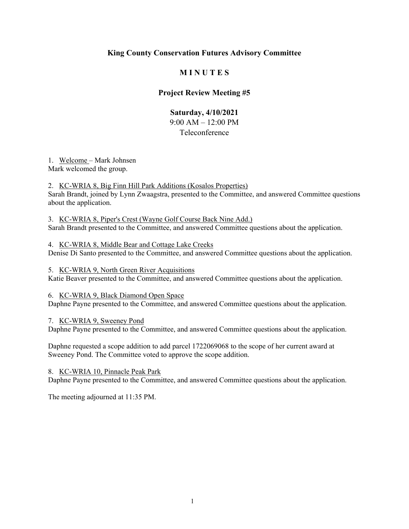### **M I N U T E S**

### **Project Review Meeting #5**

### **Saturday, 4/10/2021**

9:00 AM – 12:00 PM Teleconference

1. Welcome – Mark Johnsen

Mark welcomed the group.

2. KC-WRIA 8, Big Finn Hill Park Additions (Kosalos Properties)

Sarah Brandt, joined by Lynn Zwaagstra, presented to the Committee, and answered Committee questions about the application.

3. KC-WRIA 8, Piper's Crest (Wayne Golf Course Back Nine Add.)

Sarah Brandt presented to the Committee, and answered Committee questions about the application.

### 4. KC-WRIA 8, Middle Bear and Cottage Lake Creeks

Denise Di Santo presented to the Committee, and answered Committee questions about the application.

### 5. KC-WRIA 9, North Green River Acquisitions

Katie Beaver presented to the Committee, and answered Committee questions about the application.

#### 6. KC-WRIA 9, Black Diamond Open Space

Daphne Payne presented to the Committee, and answered Committee questions about the application.

### 7. KC-WRIA 9, Sweeney Pond

Daphne Payne presented to the Committee, and answered Committee questions about the application.

Daphne requested a scope addition to add parcel 1722069068 to the scope of her current award at Sweeney Pond. The Committee voted to approve the scope addition.

#### 8. KC-WRIA 10, Pinnacle Peak Park

Daphne Payne presented to the Committee, and answered Committee questions about the application.

The meeting adjourned at 11:35 PM.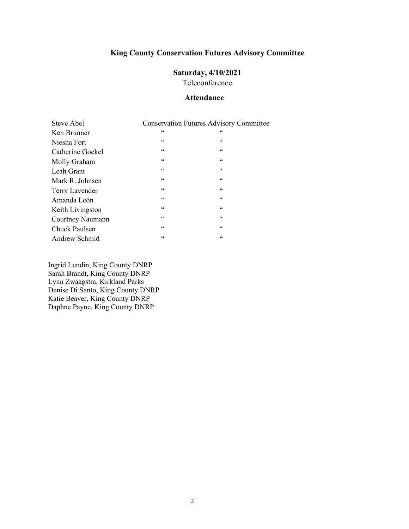# **Saturday, 4/10/2021**

Teleconference

### **Attendance**

| Steve Abel       | <b>Conservation Futures Advisory Committee</b> |                 |
|------------------|------------------------------------------------|-----------------|
| Ken Brunner      | 66                                             | 66              |
| Niesha Fort      | 66                                             | 66              |
| Catherine Gockel | 66                                             | 66              |
| Molly Graham     | 66                                             | $\zeta$ $\zeta$ |
| Leah Grant       | 66                                             | $\zeta$ $\zeta$ |
| Mark R. Johnsen  | 66                                             | $\zeta\,\zeta$  |
| Terry Lavender   | $\zeta$ $\zeta$                                | $\zeta \zeta$   |
| Amanda León      | $\zeta$ $\zeta$                                | $\zeta\,\zeta$  |
| Keith Livingston | $\mbox{\bf 6}$                                 | $\mbox{\bf 6}$  |
| Courtney Naumann | $\mbox{\bf 6}$                                 | $\zeta$ $\zeta$ |
| Chuck Paulsen    | 66                                             | $\mbox{\bf 6}$  |
| Andrew Schmid    | 66                                             | 66              |

Ingrid Lundin, King County DNRP Sarah Brandt, King County DNRP Lynn Zwaagstra, Kirkland Parks Denise Di Santo, King County DNRP Katie Beaver, King County DNRP Daphne Payne, King County DNRP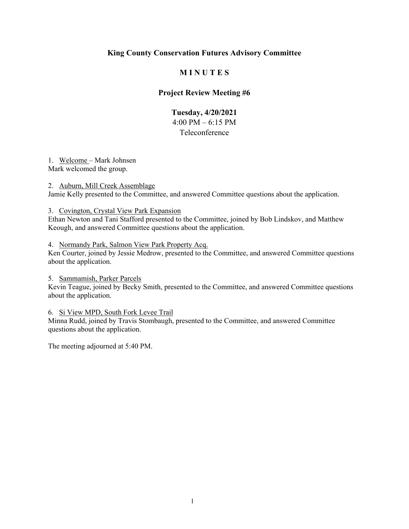### **M I N U T E S**

### **Project Review Meeting #6**

### **Tuesday, 4/20/2021**  4:00 PM – 6:15 PM Teleconference

#### 1. Welcome – Mark Johnsen Mark welcomed the group.

2. Auburn, Mill Creek Assemblage

Jamie Kelly presented to the Committee, and answered Committee questions about the application.

#### 3. Covington, Crystal View Park Expansion

Ethan Newton and Tani Stafford presented to the Committee, joined by Bob Lindskov, and Matthew Keough, and answered Committee questions about the application.

#### 4. Normandy Park, Salmon View Park Property Acq.

Ken Courter, joined by Jessie Medrow, presented to the Committee, and answered Committee questions about the application.

#### 5. Sammamish, Parker Parcels

Kevin Teague, joined by Becky Smith, presented to the Committee, and answered Committee questions about the application.

#### 6. Si View MPD, South Fork Levee Trail

Minna Rudd, joined by Travis Stombaugh, presented to the Committee, and answered Committee questions about the application.

The meeting adjourned at 5:40 PM.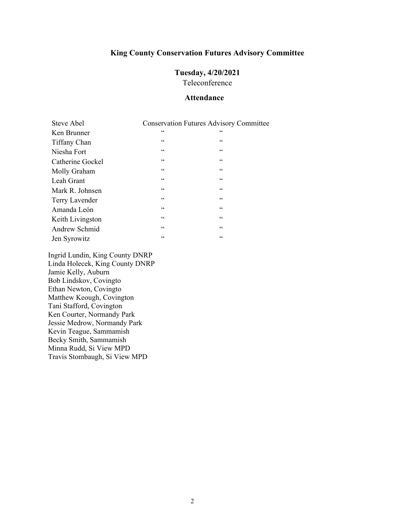# **Tuesday, 4/20/2021**

Teleconference

### **Attendance**

| Steve Abel       |                 | <b>Conservation Futures Advisory Committee</b> |
|------------------|-----------------|------------------------------------------------|
| Ken Brunner      | $\zeta$ $\zeta$ | 66                                             |
| Tiffany Chan     | $\mbox{\bf 6}$  | 66                                             |
| Niesha Fort      | $\mbox{\bf 6}$  | $\zeta \zeta$                                  |
| Catherine Gockel | $\zeta$ $\zeta$ | $\mbox{\bf 6}$                                 |
| Molly Graham     | $\mbox{\bf 6}$  | 66                                             |
| Leah Grant       | $\mbox{\bf 6}$  | $\zeta$ $\zeta$                                |
| Mark R. Johnsen  | $\mbox{\bf 6}$  | $\zeta \zeta$                                  |
| Terry Lavender   | $\zeta$ $\zeta$ | $\zeta$ $\zeta$                                |
| Amanda León      | $\mbox{\bf 6}$  | $\zeta \zeta$                                  |
| Keith Livingston | $\mbox{\bf 6}$  | $\zeta$ $\zeta$                                |
| Andrew Schmid    | $\mbox{\bf 6}$  | $\mbox{\bf 6}$                                 |
| Jen Syrowitz     | $\zeta$ $\zeta$ | 66                                             |

Ingrid Lundin, King County DNRP Linda Holecek, King County DNRP Jamie Kelly, Auburn Bob Lindskov, Covingto Ethan Newton, Covingto Matthew Keough, Covington Tani Stafford, Covington Ken Courter, Normandy Park Jessie Medrow, Normandy Park Kevin Teague, Sammamish Becky Smith, Sammamish Minna Rudd, Si View MPD Travis Stombaugh, Si View MPD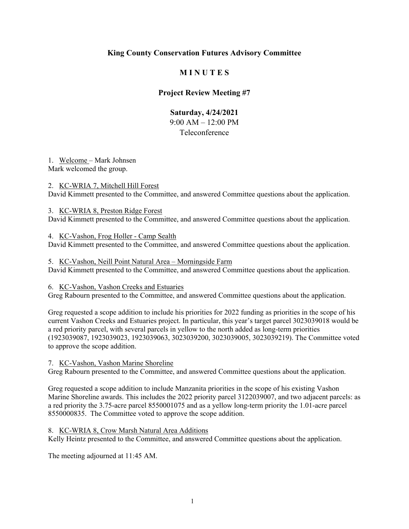### **M I N U T E S**

### **Project Review Meeting #7**

## **Saturday, 4/24/2021**

9:00 AM – 12:00 PM

### Teleconference

1. Welcome – Mark Johnsen Mark welcomed the group.

### 2. KC-WRIA 7, Mitchell Hill Forest

David Kimmett presented to the Committee, and answered Committee questions about the application.

#### 3. KC-WRIA 8, Preston Ridge Forest

David Kimmett presented to the Committee, and answered Committee questions about the application.

### 4. KC-Vashon, Frog Holler - Camp Sealth

David Kimmett presented to the Committee, and answered Committee questions about the application.

### 5. KC-Vashon, Neill Point Natural Area – Morningside Farm

David Kimmett presented to the Committee, and answered Committee questions about the application.

### 6. KC-Vashon, Vashon Creeks and Estuaries

Greg Rabourn presented to the Committee, and answered Committee questions about the application.

Greg requested a scope addition to include his priorities for 2022 funding as priorities in the scope of his current Vashon Creeks and Estuaries project. In particular, this year's target parcel 3023039018 would be a red priority parcel, with several parcels in yellow to the north added as long-term priorities (1923039087, 1923039023, 1923039063, 3023039200, 3023039005, 3023039219). The Committee voted to approve the scope addition.

7. KC-Vashon, Vashon Marine Shoreline

Greg Rabourn presented to the Committee, and answered Committee questions about the application.

Greg requested a scope addition to include Manzanita priorities in the scope of his existing Vashon Marine Shoreline awards. This includes the 2022 priority parcel 3122039007, and two adjacent parcels: as a red priority the 3.75-acre parcel 8550001075 and as a yellow long-term priority the 1.01-acre parcel 8550000835. The Committee voted to approve the scope addition.

### 8. KC-WRIA 8, Crow Marsh Natural Area Additions

Kelly Heintz presented to the Committee, and answered Committee questions about the application.

The meeting adjourned at 11:45 AM.